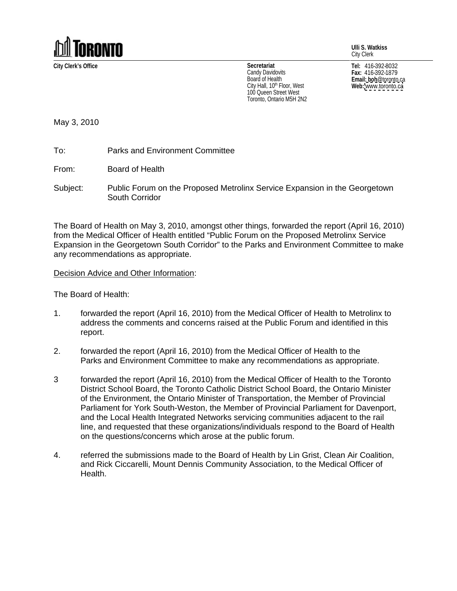

**Ulli S. Watkiss** City Clerk

**City Clerk's Office Tel:** 416-392-8032 **Secretariat** Candy Davidovits  $\begin{array}{ccc} \textsf{Fax:} & 416-392-1879 \end{array}$ Board of Health **Example 2018 Email: boh** @toronto.ca City Hall, 10<sup>th</sup> Floor, West **Web:** www.toronto.ca 100 Queen Street West Toronto, Ontario M5H 2N2

**Fax:** 416-392-1879 **Email: boh**@toronto.ca **Web:** [www.toronto.ca](http://www.toronto.ca)

May 3, 2010

To: Parks and Environment Committee

From: Board of Health **Example 2008 From:** Board of Health

Subject: Public Forum on the Proposed Metrolinx Service Expansion in the Georgetown South Corridor **South Corridor South Corridor South Corridor South Corridor** 

The Board of Health on May 3, 2010, amongst other things, forwarded the report (April 16, 2010) from the Medical Officer of Health entitled "Public Forum on the Proposed Metrolinx Service Expansion in the Georgetown South Corridor" to the Parks and Environment Committee to make any recommendations as appropriate.

Decision Advice and Other Information:

The Board of Health:

- 1. forwarded the report (April 16, 2010) from the Medical Officer of Health to Metrolinx to address the comments and concerns raised at the Public Forum and identified in this report. The contract of the contract of the contract of the contract of the contract of the contract of the contract of the contract of the contract of the contract of the contract of the contract of the contract of the co
- 2. forwarded the report (April 16, 2010) from the Medical Officer of Health to the Parks and Environment Committee to make any recommendations as appropriate.
- 3 forwarded the report (April 16, 2010) from the Medical Officer of Health to the Toronto District School Board, the Toronto Catholic District School Board, the Ontario Minister of the Environment, the Ontario Minister of Transportation, the Member of Provincial Parliament for York South-Weston, the Member of Provincial Parliament for Davenport, and the Local Health Integrated Networks servicing communities adjacent to the rail line, and requested that these organizations/individuals respond to the Board of Health on the questions/concerns which arose at the public forum.
- 4. referred the submissions made to the Board of Health by Lin Grist, Clean Air Coalition, and Rick Ciccarelli, Mount Dennis Community Association, to the Medical Officer of Health.